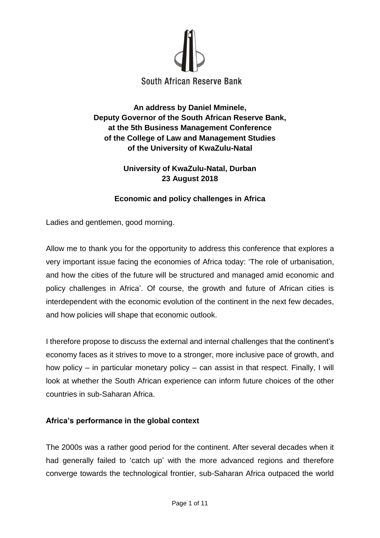

# **An address by Daniel Mminele, Deputy Governor of the South African Reserve Bank, at the 5th Business Management Conference of the College of Law and Management Studies of the University of KwaZulu-Natal**

## **University of KwaZulu-Natal, Durban 23 August 2018**

# **Economic and policy challenges in Africa**

Ladies and gentlemen, good morning.

Allow me to thank you for the opportunity to address this conference that explores a very important issue facing the economies of Africa today: 'The role of urbanisation, and how the cities of the future will be structured and managed amid economic and policy challenges in Africa'. Of course, the growth and future of African cities is interdependent with the economic evolution of the continent in the next few decades, and how policies will shape that economic outlook.

I therefore propose to discuss the external and internal challenges that the continent's economy faces as it strives to move to a stronger, more inclusive pace of growth, and how policy – in particular monetary policy – can assist in that respect. Finally, I will look at whether the South African experience can inform future choices of the other countries in sub-Saharan Africa.

## **Africa's performance in the global context**

The 2000s was a rather good period for the continent. After several decades when it had generally failed to 'catch up' with the more advanced regions and therefore converge towards the technological frontier, sub-Saharan Africa outpaced the world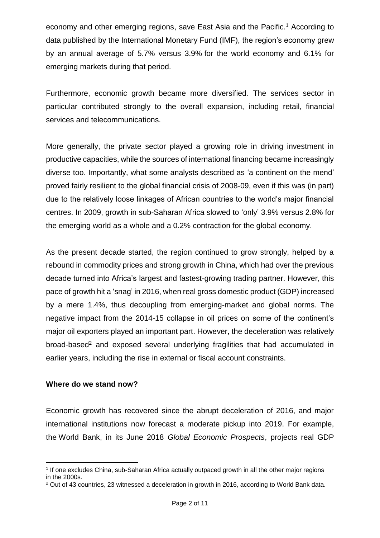economy and other emerging regions, save East Asia and the Pacific. <sup>1</sup> According to data published by the International Monetary Fund (IMF), the region's economy grew by an annual average of 5.7% versus 3.9% for the world economy and 6.1% for emerging markets during that period.

Furthermore, economic growth became more diversified. The services sector in particular contributed strongly to the overall expansion, including retail, financial services and telecommunications.

More generally, the private sector played a growing role in driving investment in productive capacities, while the sources of international financing became increasingly diverse too. Importantly, what some analysts described as 'a continent on the mend' proved fairly resilient to the global financial crisis of 2008-09, even if this was (in part) due to the relatively loose linkages of African countries to the world's major financial centres. In 2009, growth in sub-Saharan Africa slowed to 'only' 3.9% versus 2.8% for the emerging world as a whole and a 0.2% contraction for the global economy.

As the present decade started, the region continued to grow strongly, helped by a rebound in commodity prices and strong growth in China, which had over the previous decade turned into Africa's largest and fastest-growing trading partner. However, this pace of growth hit a 'snag' in 2016, when real gross domestic product (GDP) increased by a mere 1.4%, thus decoupling from emerging-market and global norms. The negative impact from the 2014-15 collapse in oil prices on some of the continent's major oil exporters played an important part. However, the deceleration was relatively broad-based<sup>2</sup> and exposed several underlying fragilities that had accumulated in earlier years, including the rise in external or fiscal account constraints.

#### **Where do we stand now?**

Economic growth has recovered since the abrupt deceleration of 2016, and major international institutions now forecast a moderate pickup into 2019. For example, the World Bank, in its June 2018 *Global Economic Prospects*, projects real GDP

<sup>1</sup> 1 If one excludes China, sub-Saharan Africa actually outpaced growth in all the other major regions in the 2000s.

<sup>2</sup> Out of 43 countries, 23 witnessed a deceleration in growth in 2016, according to World Bank data.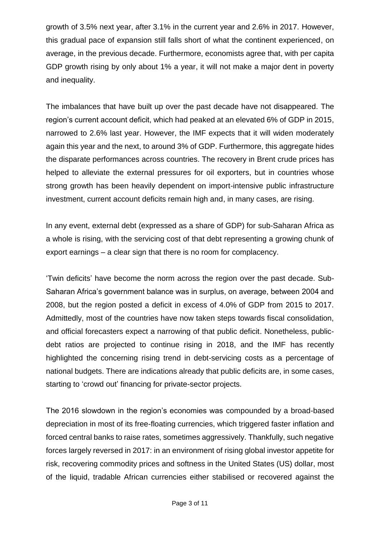growth of 3.5% next year, after 3.1% in the current year and 2.6% in 2017. However, this gradual pace of expansion still falls short of what the continent experienced, on average, in the previous decade. Furthermore, economists agree that, with per capita GDP growth rising by only about 1% a year, it will not make a major dent in poverty and inequality.

The imbalances that have built up over the past decade have not disappeared. The region's current account deficit, which had peaked at an elevated 6% of GDP in 2015, narrowed to 2.6% last year. However, the IMF expects that it will widen moderately again this year and the next, to around 3% of GDP. Furthermore, this aggregate hides the disparate performances across countries. The recovery in Brent crude prices has helped to alleviate the external pressures for oil exporters, but in countries whose strong growth has been heavily dependent on import-intensive public infrastructure investment, current account deficits remain high and, in many cases, are rising.

In any event, external debt (expressed as a share of GDP) for sub-Saharan Africa as a whole is rising, with the servicing cost of that debt representing a growing chunk of export earnings – a clear sign that there is no room for complacency.

'Twin deficits' have become the norm across the region over the past decade. Sub-Saharan Africa's government balance was in surplus, on average, between 2004 and 2008, but the region posted a deficit in excess of 4.0% of GDP from 2015 to 2017. Admittedly, most of the countries have now taken steps towards fiscal consolidation, and official forecasters expect a narrowing of that public deficit. Nonetheless, publicdebt ratios are projected to continue rising in 2018, and the IMF has recently highlighted the concerning rising trend in debt-servicing costs as a percentage of national budgets. There are indications already that public deficits are, in some cases, starting to 'crowd out' financing for private-sector projects.

The 2016 slowdown in the region's economies was compounded by a broad-based depreciation in most of its free-floating currencies, which triggered faster inflation and forced central banks to raise rates, sometimes aggressively. Thankfully, such negative forces largely reversed in 2017: in an environment of rising global investor appetite for risk, recovering commodity prices and softness in the United States (US) dollar, most of the liquid, tradable African currencies either stabilised or recovered against the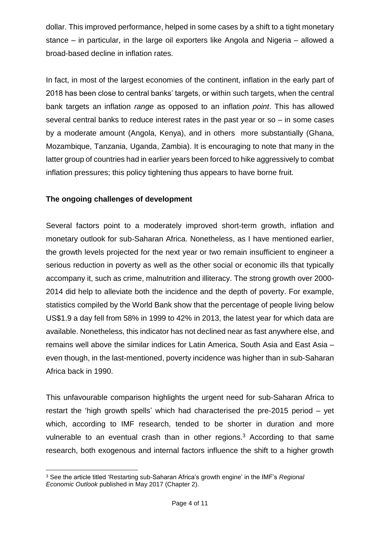dollar. This improved performance, helped in some cases by a shift to a tight monetary stance – in particular, in the large oil exporters like Angola and Nigeria – allowed a broad-based decline in inflation rates.

In fact, in most of the largest economies of the continent, inflation in the early part of 2018 has been close to central banks' targets, or within such targets, when the central bank targets an inflation *range* as opposed to an inflation *point*. This has allowed several central banks to reduce interest rates in the past year or so – in some cases by a moderate amount (Angola, Kenya), and in others more substantially (Ghana, Mozambique, Tanzania, Uganda, Zambia). It is encouraging to note that many in the latter group of countries had in earlier years been forced to hike aggressively to combat inflation pressures; this policy tightening thus appears to have borne fruit.

### **The ongoing challenges of development**

Several factors point to a moderately improved short-term growth, inflation and monetary outlook for sub-Saharan Africa. Nonetheless, as I have mentioned earlier, the growth levels projected for the next year or two remain insufficient to engineer a serious reduction in poverty as well as the other social or economic ills that typically accompany it, such as crime, malnutrition and illiteracy. The strong growth over 2000- 2014 did help to alleviate both the incidence and the depth of poverty. For example, statistics compiled by the World Bank show that the percentage of people living below US\$1.9 a day fell from 58% in 1999 to 42% in 2013, the latest year for which data are available. Nonetheless, this indicator has not declined near as fast anywhere else, and remains well above the similar indices for Latin America, South Asia and East Asia – even though, in the last-mentioned, poverty incidence was higher than in sub-Saharan Africa back in 1990.

This unfavourable comparison highlights the urgent need for sub-Saharan Africa to restart the 'high growth spells' which had characterised the pre-2015 period – yet which, according to IMF research, tended to be shorter in duration and more vulnerable to an eventual crash than in other regions.<sup>3</sup> According to that same research, both exogenous and internal factors influence the shift to a higher growth

**<sup>.</sup>** <sup>3</sup> See the article titled 'Restarting sub-Saharan Africa's growth engine' in the IMF's *Regional Economic Outlook* published in May 2017 (Chapter 2).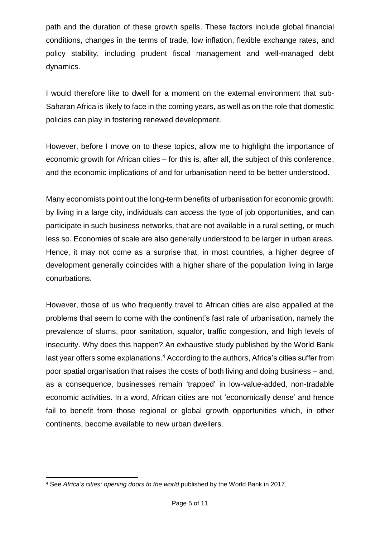path and the duration of these growth spells. These factors include global financial conditions, changes in the terms of trade, low inflation, flexible exchange rates, and policy stability, including prudent fiscal management and well-managed debt dynamics.

I would therefore like to dwell for a moment on the external environment that sub-Saharan Africa is likely to face in the coming years, as well as on the role that domestic policies can play in fostering renewed development.

However, before I move on to these topics, allow me to highlight the importance of economic growth for African cities – for this is, after all, the subject of this conference, and the economic implications of and for urbanisation need to be better understood.

Many economists point out the long-term benefits of urbanisation for economic growth: by living in a large city, individuals can access the type of job opportunities, and can participate in such business networks, that are not available in a rural setting, or much less so. Economies of scale are also generally understood to be larger in urban areas. Hence, it may not come as a surprise that, in most countries, a higher degree of development generally coincides with a higher share of the population living in large conurbations.

However, those of us who frequently travel to African cities are also appalled at the problems that seem to come with the continent's fast rate of urbanisation, namely the prevalence of slums, poor sanitation, squalor, traffic congestion, and high levels of insecurity. Why does this happen? An exhaustive study published by the World Bank last year offers some explanations.<sup>4</sup> According to the authors, Africa's cities suffer from poor spatial organisation that raises the costs of both living and doing business – and, as a consequence, businesses remain 'trapped' in low-value-added, non-tradable economic activities. In a word, African cities are not 'economically dense' and hence fail to benefit from those regional or global growth opportunities which, in other continents, become available to new urban dwellers.

**<sup>.</sup>** <sup>4</sup> See *Africa's cities: opening doors to the world* published by the World Bank in 2017.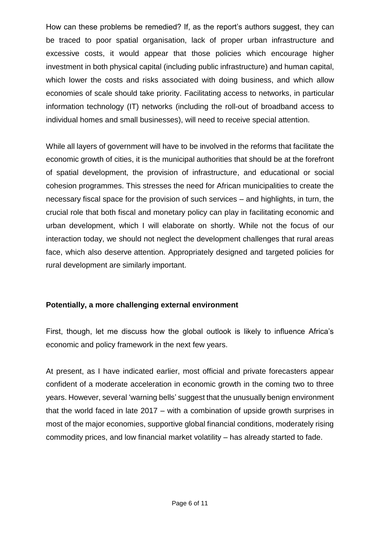How can these problems be remedied? If, as the report's authors suggest, they can be traced to poor spatial organisation, lack of proper urban infrastructure and excessive costs, it would appear that those policies which encourage higher investment in both physical capital (including public infrastructure) and human capital, which lower the costs and risks associated with doing business, and which allow economies of scale should take priority. Facilitating access to networks, in particular information technology (IT) networks (including the roll-out of broadband access to individual homes and small businesses), will need to receive special attention.

While all layers of government will have to be involved in the reforms that facilitate the economic growth of cities, it is the municipal authorities that should be at the forefront of spatial development, the provision of infrastructure, and educational or social cohesion programmes. This stresses the need for African municipalities to create the necessary fiscal space for the provision of such services – and highlights, in turn, the crucial role that both fiscal and monetary policy can play in facilitating economic and urban development, which I will elaborate on shortly. While not the focus of our interaction today, we should not neglect the development challenges that rural areas face, which also deserve attention. Appropriately designed and targeted policies for rural development are similarly important.

## **Potentially, a more challenging external environment**

First, though, let me discuss how the global outlook is likely to influence Africa's economic and policy framework in the next few years.

At present, as I have indicated earlier, most official and private forecasters appear confident of a moderate acceleration in economic growth in the coming two to three years. However, several 'warning bells' suggest that the unusually benign environment that the world faced in late 2017 – with a combination of upside growth surprises in most of the major economies, supportive global financial conditions, moderately rising commodity prices, and low financial market volatility – has already started to fade.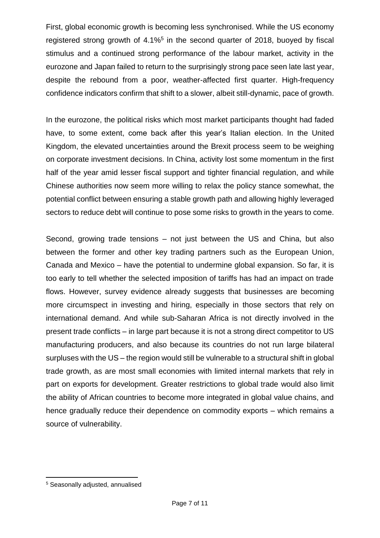First, global economic growth is becoming less synchronised. While the US economy registered strong growth of  $4.1\%$ <sup>5</sup> in the second quarter of 2018, buoyed by fiscal stimulus and a continued strong performance of the labour market, activity in the eurozone and Japan failed to return to the surprisingly strong pace seen late last year, despite the rebound from a poor, weather-affected first quarter. High-frequency confidence indicators confirm that shift to a slower, albeit still-dynamic, pace of growth.

In the eurozone, the political risks which most market participants thought had faded have, to some extent, come back after this year's Italian election. In the United Kingdom, the elevated uncertainties around the Brexit process seem to be weighing on corporate investment decisions. In China, activity lost some momentum in the first half of the year amid lesser fiscal support and tighter financial regulation, and while Chinese authorities now seem more willing to relax the policy stance somewhat, the potential conflict between ensuring a stable growth path and allowing highly leveraged sectors to reduce debt will continue to pose some risks to growth in the years to come.

Second, growing trade tensions – not just between the US and China, but also between the former and other key trading partners such as the European Union, Canada and Mexico – have the potential to undermine global expansion. So far, it is too early to tell whether the selected imposition of tariffs has had an impact on trade flows. However, survey evidence already suggests that businesses are becoming more circumspect in investing and hiring, especially in those sectors that rely on international demand. And while sub-Saharan Africa is not directly involved in the present trade conflicts – in large part because it is not a strong direct competitor to US manufacturing producers, and also because its countries do not run large bilateral surpluses with the US – the region would still be vulnerable to a structural shift in global trade growth, as are most small economies with limited internal markets that rely in part on exports for development. Greater restrictions to global trade would also limit the ability of African countries to become more integrated in global value chains, and hence gradually reduce their dependence on commodity exports – which remains a source of vulnerability.

**.** 

<sup>5</sup> Seasonally adjusted, annualised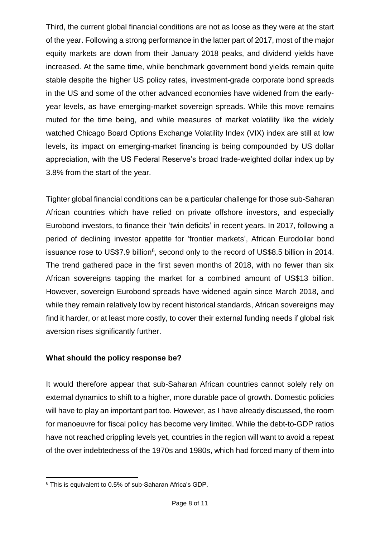Third, the current global financial conditions are not as loose as they were at the start of the year. Following a strong performance in the latter part of 2017, most of the major equity markets are down from their January 2018 peaks, and dividend yields have increased. At the same time, while benchmark government bond yields remain quite stable despite the higher US policy rates, investment-grade corporate bond spreads in the US and some of the other advanced economies have widened from the earlyyear levels, as have emerging-market sovereign spreads. While this move remains muted for the time being, and while measures of market volatility like the widely watched Chicago Board Options Exchange Volatility Index (VIX) index are still at low levels, its impact on emerging-market financing is being compounded by US dollar appreciation, with the US Federal Reserve's broad trade-weighted dollar index up by 3.8% from the start of the year.

Tighter global financial conditions can be a particular challenge for those sub-Saharan African countries which have relied on private offshore investors, and especially Eurobond investors, to finance their 'twin deficits' in recent years. In 2017, following a period of declining investor appetite for 'frontier markets', African Eurodollar bond issuance rose to US\$7.9 billion<sup>6</sup>, second only to the record of US\$8.5 billion in 2014. The trend gathered pace in the first seven months of 2018, with no fewer than six African sovereigns tapping the market for a combined amount of US\$13 billion. However, sovereign Eurobond spreads have widened again since March 2018, and while they remain relatively low by recent historical standards, African sovereigns may find it harder, or at least more costly, to cover their external funding needs if global risk aversion rises significantly further.

## **What should the policy response be?**

It would therefore appear that sub-Saharan African countries cannot solely rely on external dynamics to shift to a higher, more durable pace of growth. Domestic policies will have to play an important part too. However, as I have already discussed, the room for manoeuvre for fiscal policy has become very limited. While the debt-to-GDP ratios have not reached crippling levels yet, countries in the region will want to avoid a repeat of the over indebtedness of the 1970s and 1980s, which had forced many of them into

**<sup>.</sup>** <sup>6</sup> This is equivalent to 0.5% of sub-Saharan Africa's GDP.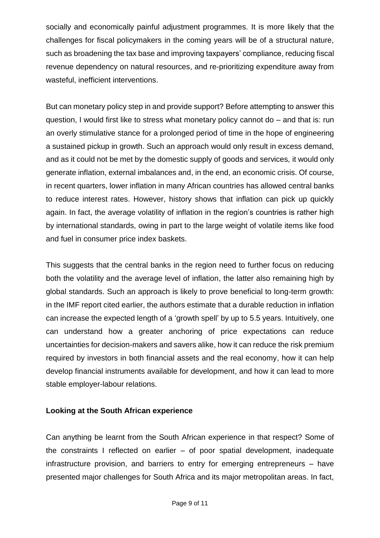socially and economically painful adjustment programmes. It is more likely that the challenges for fiscal policymakers in the coming years will be of a structural nature, such as broadening the tax base and improving taxpayers' compliance, reducing fiscal revenue dependency on natural resources, and re-prioritizing expenditure away from wasteful, inefficient interventions.

But can monetary policy step in and provide support? Before attempting to answer this question, I would first like to stress what monetary policy cannot do – and that is: run an overly stimulative stance for a prolonged period of time in the hope of engineering a sustained pickup in growth. Such an approach would only result in excess demand, and as it could not be met by the domestic supply of goods and services, it would only generate inflation, external imbalances and, in the end, an economic crisis. Of course, in recent quarters, lower inflation in many African countries has allowed central banks to reduce interest rates. However, history shows that inflation can pick up quickly again. In fact, the average volatility of inflation in the region's countries is rather high by international standards, owing in part to the large weight of volatile items like food and fuel in consumer price index baskets.

This suggests that the central banks in the region need to further focus on reducing both the volatility and the average level of inflation, the latter also remaining high by global standards. Such an approach is likely to prove beneficial to long-term growth: in the IMF report cited earlier, the authors estimate that a durable reduction in inflation can increase the expected length of a 'growth spell' by up to 5.5 years. Intuitively, one can understand how a greater anchoring of price expectations can reduce uncertainties for decision-makers and savers alike, how it can reduce the risk premium required by investors in both financial assets and the real economy, how it can help develop financial instruments available for development, and how it can lead to more stable employer-labour relations.

#### **Looking at the South African experience**

Can anything be learnt from the South African experience in that respect? Some of the constraints I reflected on earlier – of poor spatial development, inadequate infrastructure provision, and barriers to entry for emerging entrepreneurs – have presented major challenges for South Africa and its major metropolitan areas. In fact,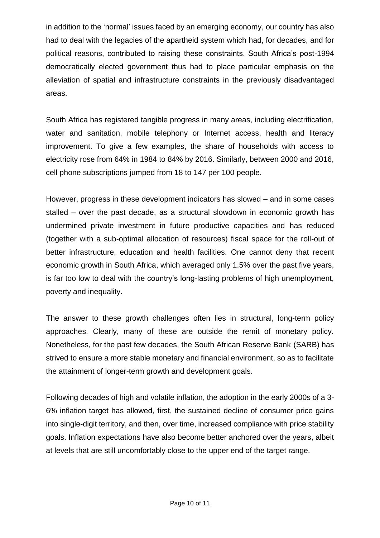in addition to the 'normal' issues faced by an emerging economy, our country has also had to deal with the legacies of the apartheid system which had, for decades, and for political reasons, contributed to raising these constraints. South Africa's post-1994 democratically elected government thus had to place particular emphasis on the alleviation of spatial and infrastructure constraints in the previously disadvantaged areas.

South Africa has registered tangible progress in many areas, including electrification, water and sanitation, mobile telephony or Internet access, health and literacy improvement. To give a few examples, the share of households with access to electricity rose from 64% in 1984 to 84% by 2016. Similarly, between 2000 and 2016, cell phone subscriptions jumped from 18 to 147 per 100 people.

However, progress in these development indicators has slowed – and in some cases stalled – over the past decade, as a structural slowdown in economic growth has undermined private investment in future productive capacities and has reduced (together with a sub-optimal allocation of resources) fiscal space for the roll-out of better infrastructure, education and health facilities. One cannot deny that recent economic growth in South Africa, which averaged only 1.5% over the past five years, is far too low to deal with the country's long-lasting problems of high unemployment, poverty and inequality.

The answer to these growth challenges often lies in structural, long-term policy approaches. Clearly, many of these are outside the remit of monetary policy. Nonetheless, for the past few decades, the South African Reserve Bank (SARB) has strived to ensure a more stable monetary and financial environment, so as to facilitate the attainment of longer-term growth and development goals.

Following decades of high and volatile inflation, the adoption in the early 2000s of a 3- 6% inflation target has allowed, first, the sustained decline of consumer price gains into single-digit territory, and then, over time, increased compliance with price stability goals. Inflation expectations have also become better anchored over the years, albeit at levels that are still uncomfortably close to the upper end of the target range.